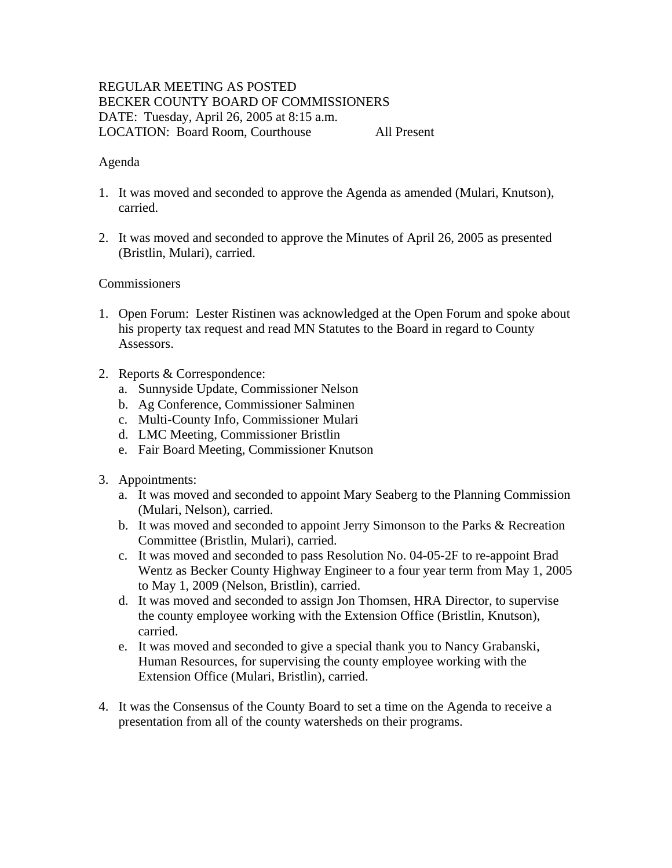# REGULAR MEETING AS POSTED BECKER COUNTY BOARD OF COMMISSIONERS DATE: Tuesday, April 26, 2005 at 8:15 a.m. LOCATION: Board Room, Courthouse All Present

#### Agenda

- 1. It was moved and seconded to approve the Agenda as amended (Mulari, Knutson), carried.
- 2. It was moved and seconded to approve the Minutes of April 26, 2005 as presented (Bristlin, Mulari), carried.

### **Commissioners**

- 1. Open Forum: Lester Ristinen was acknowledged at the Open Forum and spoke about his property tax request and read MN Statutes to the Board in regard to County Assessors.
- 2. Reports & Correspondence:
	- a. Sunnyside Update, Commissioner Nelson
	- b. Ag Conference, Commissioner Salminen
	- c. Multi-County Info, Commissioner Mulari
	- d. LMC Meeting, Commissioner Bristlin
	- e. Fair Board Meeting, Commissioner Knutson
- 3. Appointments:
	- a. It was moved and seconded to appoint Mary Seaberg to the Planning Commission (Mulari, Nelson), carried.
	- b. It was moved and seconded to appoint Jerry Simonson to the Parks & Recreation Committee (Bristlin, Mulari), carried.
	- c. It was moved and seconded to pass Resolution No. 04-05-2F to re-appoint Brad Wentz as Becker County Highway Engineer to a four year term from May 1, 2005 to May 1, 2009 (Nelson, Bristlin), carried.
	- d. It was moved and seconded to assign Jon Thomsen, HRA Director, to supervise the county employee working with the Extension Office (Bristlin, Knutson), carried.
	- e. It was moved and seconded to give a special thank you to Nancy Grabanski, Human Resources, for supervising the county employee working with the Extension Office (Mulari, Bristlin), carried.
- 4. It was the Consensus of the County Board to set a time on the Agenda to receive a presentation from all of the county watersheds on their programs.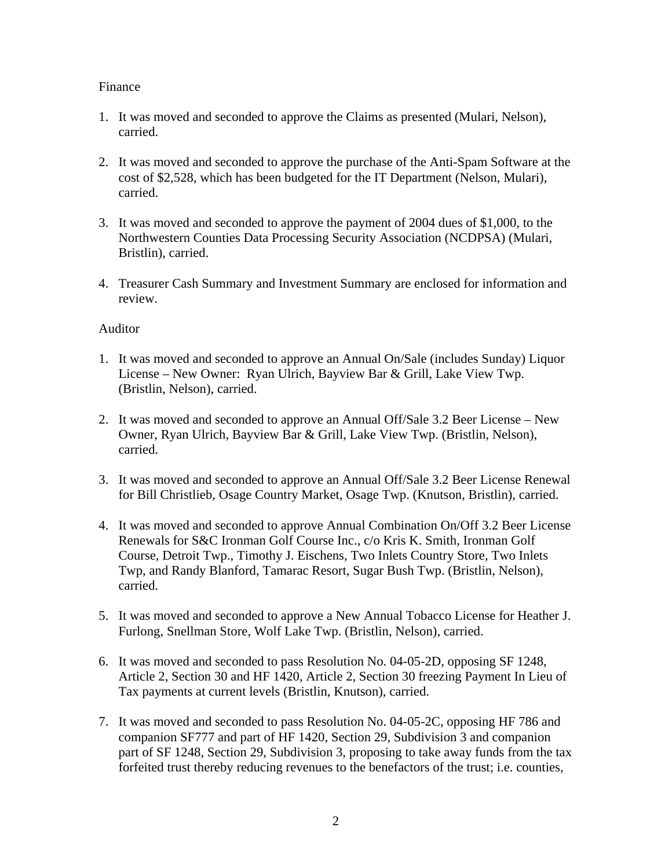## Finance

- 1. It was moved and seconded to approve the Claims as presented (Mulari, Nelson), carried.
- 2. It was moved and seconded to approve the purchase of the Anti-Spam Software at the cost of \$2,528, which has been budgeted for the IT Department (Nelson, Mulari), carried.
- 3. It was moved and seconded to approve the payment of 2004 dues of \$1,000, to the Northwestern Counties Data Processing Security Association (NCDPSA) (Mulari, Bristlin), carried.
- 4. Treasurer Cash Summary and Investment Summary are enclosed for information and review.

### Auditor

- 1. It was moved and seconded to approve an Annual On/Sale (includes Sunday) Liquor License – New Owner: Ryan Ulrich, Bayview Bar & Grill, Lake View Twp. (Bristlin, Nelson), carried.
- 2. It was moved and seconded to approve an Annual Off/Sale 3.2 Beer License New Owner, Ryan Ulrich, Bayview Bar & Grill, Lake View Twp. (Bristlin, Nelson), carried.
- 3. It was moved and seconded to approve an Annual Off/Sale 3.2 Beer License Renewal for Bill Christlieb, Osage Country Market, Osage Twp. (Knutson, Bristlin), carried.
- 4. It was moved and seconded to approve Annual Combination On/Off 3.2 Beer License Renewals for S&C Ironman Golf Course Inc., c/o Kris K. Smith, Ironman Golf Course, Detroit Twp., Timothy J. Eischens, Two Inlets Country Store, Two Inlets Twp, and Randy Blanford, Tamarac Resort, Sugar Bush Twp. (Bristlin, Nelson), carried.
- 5. It was moved and seconded to approve a New Annual Tobacco License for Heather J. Furlong, Snellman Store, Wolf Lake Twp. (Bristlin, Nelson), carried.
- 6. It was moved and seconded to pass Resolution No. 04-05-2D, opposing SF 1248, Article 2, Section 30 and HF 1420, Article 2, Section 30 freezing Payment In Lieu of Tax payments at current levels (Bristlin, Knutson), carried.
- 7. It was moved and seconded to pass Resolution No. 04-05-2C, opposing HF 786 and companion SF777 and part of HF 1420, Section 29, Subdivision 3 and companion part of SF 1248, Section 29, Subdivision 3, proposing to take away funds from the tax forfeited trust thereby reducing revenues to the benefactors of the trust; i.e. counties,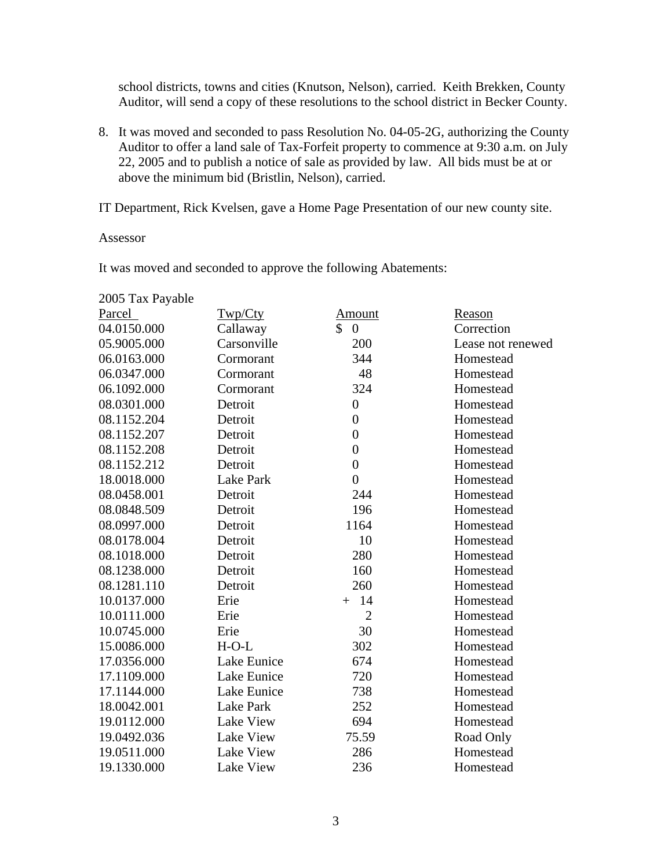school districts, towns and cities (Knutson, Nelson), carried. Keith Brekken, County Auditor, will send a copy of these resolutions to the school district in Becker County.

8. It was moved and seconded to pass Resolution No. 04-05-2G, authorizing the County Auditor to offer a land sale of Tax-Forfeit property to commence at 9:30 a.m. on July 22, 2005 and to publish a notice of sale as provided by law. All bids must be at or above the minimum bid (Bristlin, Nelson), carried.

IT Department, Rick Kvelsen, gave a Home Page Presentation of our new county site.

Assessor

It was moved and seconded to approve the following Abatements:

| 2005 Tax Payable |                  |                                 |                   |
|------------------|------------------|---------------------------------|-------------------|
| Parcel           | Twp/Cty          | Amount                          | Reason            |
| 04.0150.000      | Callaway         | $\mathcal{S}$<br>$\overline{0}$ | Correction        |
| 05.9005.000      | Carsonville      | 200                             | Lease not renewed |
| 06.0163.000      | Cormorant        | 344                             | Homestead         |
| 06.0347.000      | Cormorant        | 48                              | Homestead         |
| 06.1092.000      | Cormorant        | 324                             | Homestead         |
| 08.0301.000      | Detroit          | $\boldsymbol{0}$                | Homestead         |
| 08.1152.204      | Detroit          | $\overline{0}$                  | Homestead         |
| 08.1152.207      | Detroit          | $\overline{0}$                  | Homestead         |
| 08.1152.208      | Detroit          | $\overline{0}$                  | Homestead         |
| 08.1152.212      | Detroit          | $\overline{0}$                  | Homestead         |
| 18.0018.000      | Lake Park        | $\overline{0}$                  | Homestead         |
| 08.0458.001      | Detroit          | 244                             | Homestead         |
| 08.0848.509      | Detroit          | 196                             | Homestead         |
| 08.0997.000      | Detroit          | 1164                            | Homestead         |
| 08.0178.004      | Detroit          | 10                              | Homestead         |
| 08.1018.000      | Detroit          | 280                             | Homestead         |
| 08.1238.000      | Detroit          | 160                             | Homestead         |
| 08.1281.110      | Detroit          | 260                             | Homestead         |
| 10.0137.000      | Erie             | 14<br>$+$                       | Homestead         |
| 10.0111.000      | Erie             | $\overline{2}$                  | Homestead         |
| 10.0745.000      | Erie             | 30                              | Homestead         |
| 15.0086.000      | $H-O-L$          | 302                             | Homestead         |
| 17.0356.000      | Lake Eunice      | 674                             | Homestead         |
| 17.1109.000      | Lake Eunice      | 720                             | Homestead         |
| 17.1144.000      | Lake Eunice      | 738                             | Homestead         |
| 18.0042.001      | Lake Park        | 252                             | Homestead         |
| 19.0112.000      | Lake View        | 694                             | Homestead         |
| 19.0492.036      | Lake View        | 75.59                           | Road Only         |
| 19.0511.000      | Lake View        | 286                             | Homestead         |
| 19.1330.000      | <b>Lake View</b> | 236                             | Homestead         |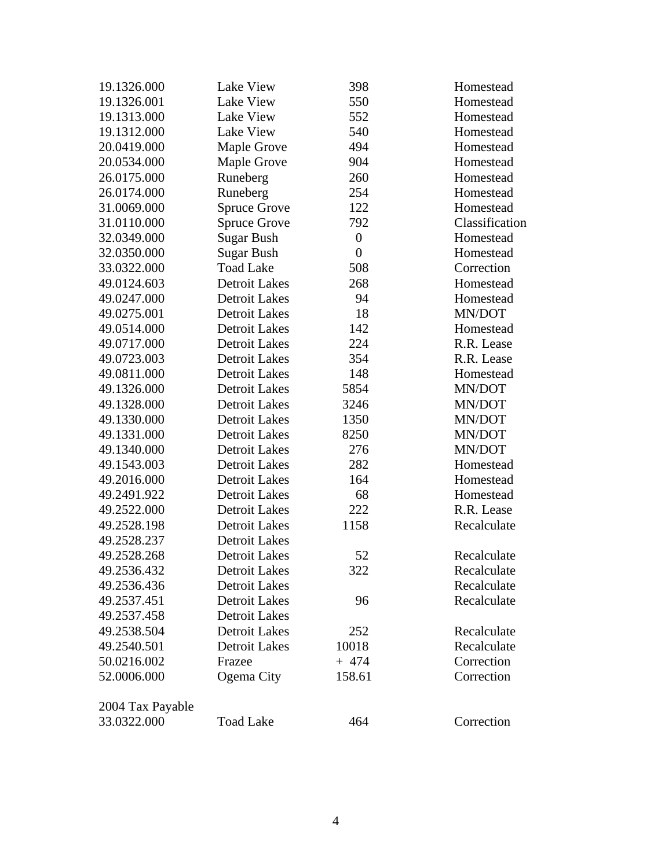| 19.1326.000      | <b>Lake View</b>     | 398              | Homestead      |
|------------------|----------------------|------------------|----------------|
| 19.1326.001      | Lake View            | 550              | Homestead      |
| 19.1313.000      | Lake View            | 552              | Homestead      |
| 19.1312.000      | Lake View            | 540              | Homestead      |
| 20.0419.000      | Maple Grove          | 494              | Homestead      |
| 20.0534.000      | Maple Grove          | 904              | Homestead      |
| 26.0175.000      | Runeberg             | 260              | Homestead      |
| 26.0174.000      | Runeberg             | 254              | Homestead      |
| 31.0069.000      | <b>Spruce Grove</b>  | 122              | Homestead      |
| 31.0110.000      | <b>Spruce Grove</b>  | 792              | Classification |
| 32.0349.000      | <b>Sugar Bush</b>    | $\boldsymbol{0}$ | Homestead      |
| 32.0350.000      | <b>Sugar Bush</b>    | $\boldsymbol{0}$ | Homestead      |
| 33.0322.000      | <b>Toad Lake</b>     | 508              | Correction     |
| 49.0124.603      | <b>Detroit Lakes</b> | 268              | Homestead      |
| 49.0247.000      | <b>Detroit Lakes</b> | 94               | Homestead      |
| 49.0275.001      | <b>Detroit Lakes</b> | 18               | MN/DOT         |
| 49.0514.000      | <b>Detroit Lakes</b> | 142              | Homestead      |
| 49.0717.000      | <b>Detroit Lakes</b> | 224              | R.R. Lease     |
| 49.0723.003      | <b>Detroit Lakes</b> | 354              | R.R. Lease     |
| 49.0811.000      | <b>Detroit Lakes</b> | 148              | Homestead      |
| 49.1326.000      | <b>Detroit Lakes</b> | 5854             | MN/DOT         |
| 49.1328.000      | <b>Detroit Lakes</b> | 3246             | MN/DOT         |
| 49.1330.000      | <b>Detroit Lakes</b> | 1350             | MN/DOT         |
| 49.1331.000      | <b>Detroit Lakes</b> | 8250             | MN/DOT         |
| 49.1340.000      | <b>Detroit Lakes</b> | 276              | MN/DOT         |
| 49.1543.003      | <b>Detroit Lakes</b> | 282              | Homestead      |
| 49.2016.000      | <b>Detroit Lakes</b> | 164              | Homestead      |
| 49.2491.922      | <b>Detroit Lakes</b> | 68               | Homestead      |
| 49.2522.000      | <b>Detroit Lakes</b> | 222              | R.R. Lease     |
| 49.2528.198      | <b>Detroit Lakes</b> | 1158             | Recalculate    |
| 49.2528.237      | <b>Detroit Lakes</b> |                  |                |
| 49.2528.268      | <b>Detroit Lakes</b> | 52               | Recalculate    |
| 49.2536.432      | <b>Detroit Lakes</b> | 322              | Recalculate    |
| 49.2536.436      | <b>Detroit Lakes</b> |                  | Recalculate    |
| 49.2537.451      | <b>Detroit Lakes</b> | 96               | Recalculate    |
| 49.2537.458      | <b>Detroit Lakes</b> |                  |                |
| 49.2538.504      | <b>Detroit Lakes</b> | 252              | Recalculate    |
| 49.2540.501      | <b>Detroit Lakes</b> | 10018            | Recalculate    |
| 50.0216.002      | Frazee               | $+474$           | Correction     |
| 52.0006.000      | Ogema City           | 158.61           | Correction     |
| 2004 Tax Payable |                      |                  |                |
| 33.0322.000      | <b>Toad Lake</b>     | 464              | Correction     |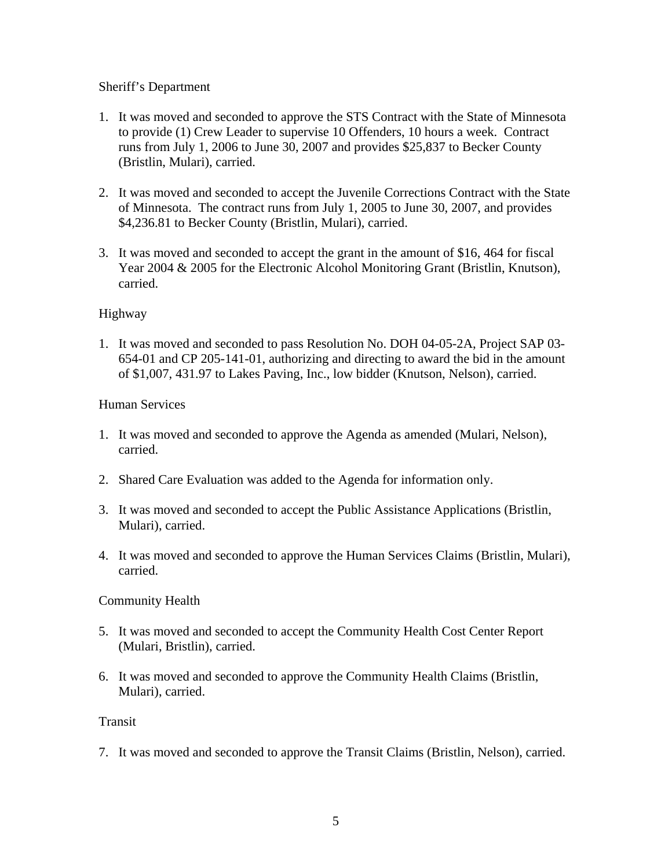# Sheriff's Department

- 1. It was moved and seconded to approve the STS Contract with the State of Minnesota to provide (1) Crew Leader to supervise 10 Offenders, 10 hours a week. Contract runs from July 1, 2006 to June 30, 2007 and provides \$25,837 to Becker County (Bristlin, Mulari), carried.
- 2. It was moved and seconded to accept the Juvenile Corrections Contract with the State of Minnesota. The contract runs from July 1, 2005 to June 30, 2007, and provides \$4,236.81 to Becker County (Bristlin, Mulari), carried.
- 3. It was moved and seconded to accept the grant in the amount of \$16, 464 for fiscal Year 2004 & 2005 for the Electronic Alcohol Monitoring Grant (Bristlin, Knutson), carried.

## Highway

1. It was moved and seconded to pass Resolution No. DOH 04-05-2A, Project SAP 03- 654-01 and CP 205-141-01, authorizing and directing to award the bid in the amount of \$1,007, 431.97 to Lakes Paving, Inc., low bidder (Knutson, Nelson), carried.

## Human Services

- 1. It was moved and seconded to approve the Agenda as amended (Mulari, Nelson), carried.
- 2. Shared Care Evaluation was added to the Agenda for information only.
- 3. It was moved and seconded to accept the Public Assistance Applications (Bristlin, Mulari), carried.
- 4. It was moved and seconded to approve the Human Services Claims (Bristlin, Mulari), carried.

### Community Health

- 5. It was moved and seconded to accept the Community Health Cost Center Report (Mulari, Bristlin), carried.
- 6. It was moved and seconded to approve the Community Health Claims (Bristlin, Mulari), carried.

### Transit

7. It was moved and seconded to approve the Transit Claims (Bristlin, Nelson), carried.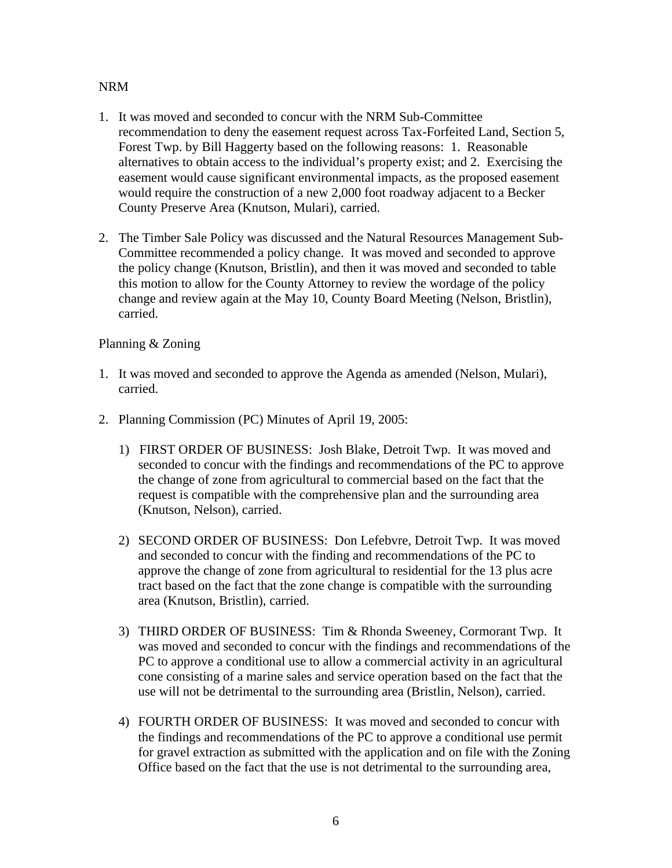## NRM

- 1. It was moved and seconded to concur with the NRM Sub-Committee recommendation to deny the easement request across Tax-Forfeited Land, Section 5, Forest Twp. by Bill Haggerty based on the following reasons: 1. Reasonable alternatives to obtain access to the individual's property exist; and 2. Exercising the easement would cause significant environmental impacts, as the proposed easement would require the construction of a new 2,000 foot roadway adjacent to a Becker County Preserve Area (Knutson, Mulari), carried.
- 2. The Timber Sale Policy was discussed and the Natural Resources Management Sub-Committee recommended a policy change. It was moved and seconded to approve the policy change (Knutson, Bristlin), and then it was moved and seconded to table this motion to allow for the County Attorney to review the wordage of the policy change and review again at the May 10, County Board Meeting (Nelson, Bristlin), carried.

## Planning & Zoning

- 1. It was moved and seconded to approve the Agenda as amended (Nelson, Mulari), carried.
- 2. Planning Commission (PC) Minutes of April 19, 2005:
	- 1) FIRST ORDER OF BUSINESS: Josh Blake, Detroit Twp. It was moved and seconded to concur with the findings and recommendations of the PC to approve the change of zone from agricultural to commercial based on the fact that the request is compatible with the comprehensive plan and the surrounding area (Knutson, Nelson), carried.
	- 2) SECOND ORDER OF BUSINESS: Don Lefebvre, Detroit Twp. It was moved and seconded to concur with the finding and recommendations of the PC to approve the change of zone from agricultural to residential for the 13 plus acre tract based on the fact that the zone change is compatible with the surrounding area (Knutson, Bristlin), carried.
	- 3) THIRD ORDER OF BUSINESS: Tim & Rhonda Sweeney, Cormorant Twp. It was moved and seconded to concur with the findings and recommendations of the PC to approve a conditional use to allow a commercial activity in an agricultural cone consisting of a marine sales and service operation based on the fact that the use will not be detrimental to the surrounding area (Bristlin, Nelson), carried.
	- 4) FOURTH ORDER OF BUSINESS: It was moved and seconded to concur with the findings and recommendations of the PC to approve a conditional use permit for gravel extraction as submitted with the application and on file with the Zoning Office based on the fact that the use is not detrimental to the surrounding area,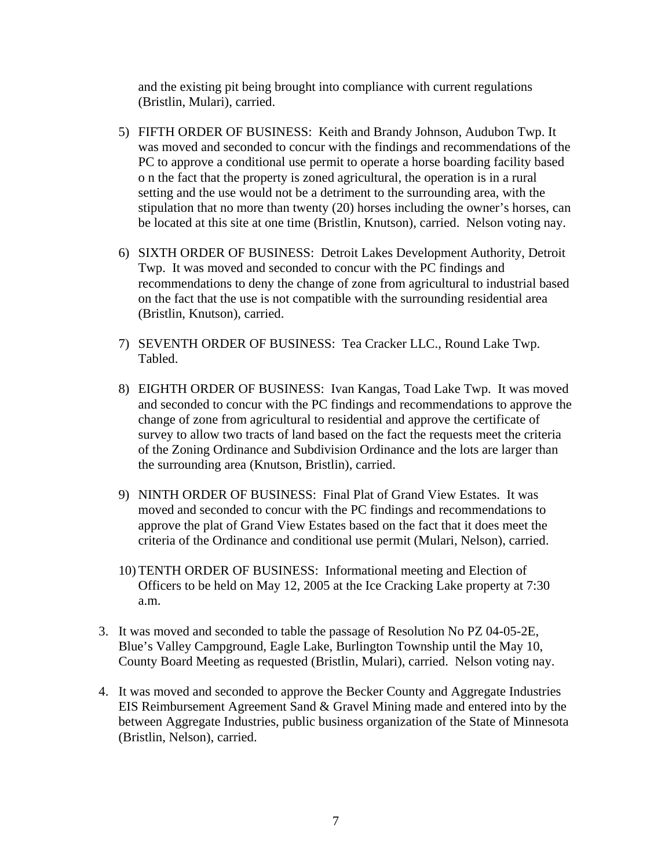and the existing pit being brought into compliance with current regulations (Bristlin, Mulari), carried.

- 5) FIFTH ORDER OF BUSINESS: Keith and Brandy Johnson, Audubon Twp. It was moved and seconded to concur with the findings and recommendations of the PC to approve a conditional use permit to operate a horse boarding facility based o n the fact that the property is zoned agricultural, the operation is in a rural setting and the use would not be a detriment to the surrounding area, with the stipulation that no more than twenty (20) horses including the owner's horses, can be located at this site at one time (Bristlin, Knutson), carried. Nelson voting nay.
- 6) SIXTH ORDER OF BUSINESS: Detroit Lakes Development Authority, Detroit Twp. It was moved and seconded to concur with the PC findings and recommendations to deny the change of zone from agricultural to industrial based on the fact that the use is not compatible with the surrounding residential area (Bristlin, Knutson), carried.
- 7) SEVENTH ORDER OF BUSINESS: Tea Cracker LLC., Round Lake Twp. Tabled.
- 8) EIGHTH ORDER OF BUSINESS: Ivan Kangas, Toad Lake Twp. It was moved and seconded to concur with the PC findings and recommendations to approve the change of zone from agricultural to residential and approve the certificate of survey to allow two tracts of land based on the fact the requests meet the criteria of the Zoning Ordinance and Subdivision Ordinance and the lots are larger than the surrounding area (Knutson, Bristlin), carried.
- 9) NINTH ORDER OF BUSINESS: Final Plat of Grand View Estates. It was moved and seconded to concur with the PC findings and recommendations to approve the plat of Grand View Estates based on the fact that it does meet the criteria of the Ordinance and conditional use permit (Mulari, Nelson), carried.
- 10) TENTH ORDER OF BUSINESS: Informational meeting and Election of Officers to be held on May 12, 2005 at the Ice Cracking Lake property at 7:30 a.m.
- 3. It was moved and seconded to table the passage of Resolution No PZ 04-05-2E, Blue's Valley Campground, Eagle Lake, Burlington Township until the May 10, County Board Meeting as requested (Bristlin, Mulari), carried. Nelson voting nay.
- 4. It was moved and seconded to approve the Becker County and Aggregate Industries EIS Reimbursement Agreement Sand & Gravel Mining made and entered into by the between Aggregate Industries, public business organization of the State of Minnesota (Bristlin, Nelson), carried.